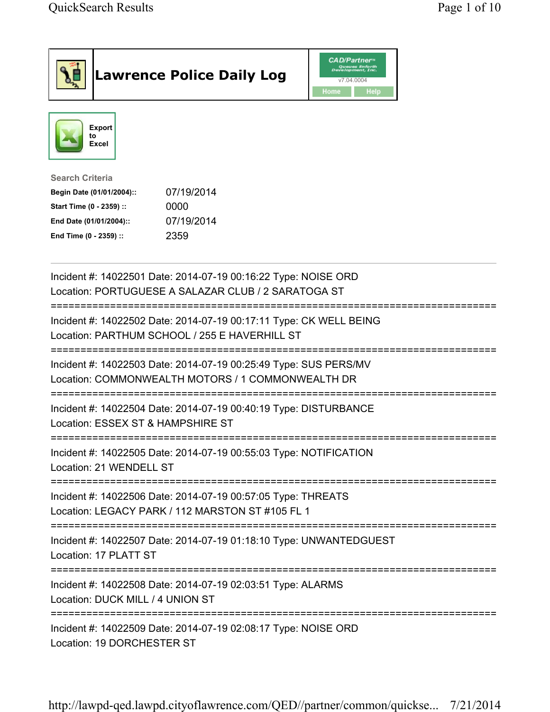|                                                                                                                                      | <b>Lawrence Police Daily Log</b>                                                                                      | <b>CAD/Partner</b><br>Queues Enforth<br>Development, Inc.<br>v7.04.0004<br>Home<br>Help |  |
|--------------------------------------------------------------------------------------------------------------------------------------|-----------------------------------------------------------------------------------------------------------------------|-----------------------------------------------------------------------------------------|--|
| Export<br>to<br><b>Excel</b>                                                                                                         |                                                                                                                       |                                                                                         |  |
| <b>Search Criteria</b><br>Begin Date (01/01/2004)::<br>Start Time (0 - 2359) ::<br>End Date (01/01/2004)::<br>End Time (0 - 2359) :: | 07/19/2014<br>0000<br>07/19/2014<br>2359                                                                              |                                                                                         |  |
|                                                                                                                                      | Incident #: 14022501 Date: 2014-07-19 00:16:22 Type: NOISE ORD<br>Location: PORTUGUESE A SALAZAR CLUB / 2 SARATOGA ST |                                                                                         |  |
|                                                                                                                                      | Incident #: 14022502 Date: 2014-07-19 00:17:11 Type: CK WELL BEING<br>Location: PARTHUM SCHOOL / 255 E HAVERHILL ST   |                                                                                         |  |
|                                                                                                                                      | Incident #: 14022503 Date: 2014-07-19 00:25:49 Type: SUS PERS/MV<br>Location: COMMONWEALTH MOTORS / 1 COMMONWEALTH DR |                                                                                         |  |
| Location: ESSEX ST & HAMPSHIRE ST                                                                                                    | Incident #: 14022504 Date: 2014-07-19 00:40:19 Type: DISTURBANCE                                                      |                                                                                         |  |
| Location: 21 WENDELL ST                                                                                                              | Incident #: 14022505 Date: 2014-07-19 00:55:03 Type: NOTIFICATION                                                     |                                                                                         |  |
|                                                                                                                                      | Incident #: 14022506 Date: 2014-07-19 00:57:05 Type: THREATS<br>Location: LEGACY PARK / 112 MARSTON ST #105 FL 1      |                                                                                         |  |
| Location: 17 PLATT ST                                                                                                                | Incident #: 14022507 Date: 2014-07-19 01:18:10 Type: UNWANTEDGUEST                                                    |                                                                                         |  |
| Location: DUCK MILL / 4 UNION ST                                                                                                     | Incident #: 14022508 Date: 2014-07-19 02:03:51 Type: ALARMS                                                           |                                                                                         |  |
| Location: 19 DORCHESTER ST                                                                                                           | Incident #: 14022509 Date: 2014-07-19 02:08:17 Type: NOISE ORD                                                        |                                                                                         |  |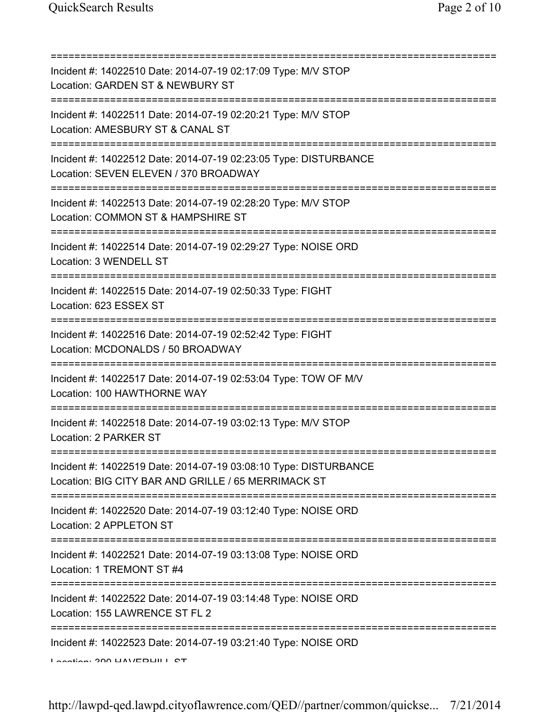| Incident #: 14022510 Date: 2014-07-19 02:17:09 Type: M/V STOP<br>Location: GARDEN ST & NEWBURY ST                                             |
|-----------------------------------------------------------------------------------------------------------------------------------------------|
| Incident #: 14022511 Date: 2014-07-19 02:20:21 Type: M/V STOP<br>Location: AMESBURY ST & CANAL ST                                             |
| Incident #: 14022512 Date: 2014-07-19 02:23:05 Type: DISTURBANCE<br>Location: SEVEN ELEVEN / 370 BROADWAY<br>================================ |
| Incident #: 14022513 Date: 2014-07-19 02:28:20 Type: M/V STOP<br>Location: COMMON ST & HAMPSHIRE ST                                           |
| Incident #: 14022514 Date: 2014-07-19 02:29:27 Type: NOISE ORD<br>Location: 3 WENDELL ST                                                      |
| =====================================<br>Incident #: 14022515 Date: 2014-07-19 02:50:33 Type: FIGHT<br>Location: 623 ESSEX ST                 |
| Incident #: 14022516 Date: 2014-07-19 02:52:42 Type: FIGHT<br>Location: MCDONALDS / 50 BROADWAY                                               |
| Incident #: 14022517 Date: 2014-07-19 02:53:04 Type: TOW OF M/V<br>Location: 100 HAWTHORNE WAY                                                |
| Incident #: 14022518 Date: 2014-07-19 03:02:13 Type: M/V STOP<br>Location: 2 PARKER ST                                                        |
| Incident #: 14022519 Date: 2014-07-19 03:08:10 Type: DISTURBANCE<br>Location: BIG CITY BAR AND GRILLE / 65 MERRIMACK ST                       |
| Incident #: 14022520 Date: 2014-07-19 03:12:40 Type: NOISE ORD<br>Location: 2 APPLETON ST                                                     |
| Incident #: 14022521 Date: 2014-07-19 03:13:08 Type: NOISE ORD<br>Location: 1 TREMONT ST #4                                                   |
| :=====================================<br>Incident #: 14022522 Date: 2014-07-19 03:14:48 Type: NOISE ORD<br>Location: 155 LAWRENCE ST FL 2    |
| Incident #: 14022523 Date: 2014-07-19 03:21:40 Type: NOISE ORD<br>$\sim$ 1 mustice of $\sim$ 000 MAV/EDMIT CT                                 |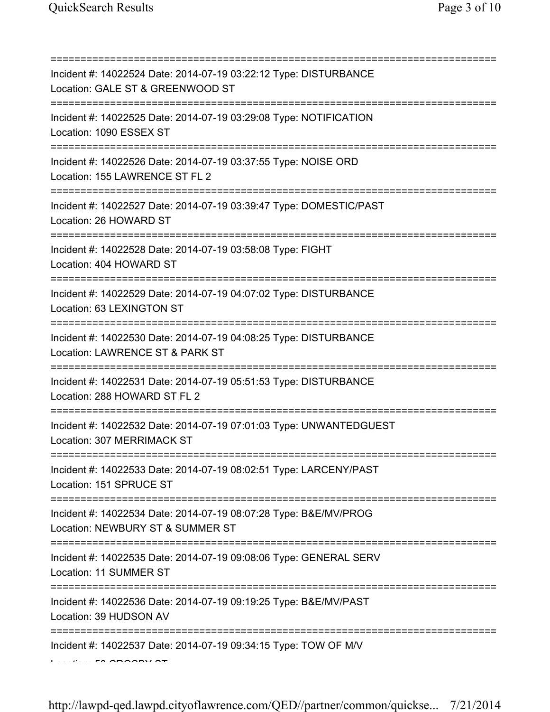=========================================================================== Incident #: 14022524 Date: 2014-07-19 03:22:12 Type: DISTURBANCE Location: GALE ST & GREENWOOD ST =========================================================================== Incident #: 14022525 Date: 2014-07-19 03:29:08 Type: NOTIFICATION Location: 1090 ESSEX ST =========================================================================== Incident #: 14022526 Date: 2014-07-19 03:37:55 Type: NOISE ORD Location: 155 LAWRENCE ST FL 2 =========================================================================== Incident #: 14022527 Date: 2014-07-19 03:39:47 Type: DOMESTIC/PAST Location: 26 HOWARD ST =========================================================================== Incident #: 14022528 Date: 2014-07-19 03:58:08 Type: FIGHT Location: 404 HOWARD ST =========================================================================== Incident #: 14022529 Date: 2014-07-19 04:07:02 Type: DISTURBANCE Location: 63 LEXINGTON ST =========================================================================== Incident #: 14022530 Date: 2014-07-19 04:08:25 Type: DISTURBANCE Location: LAWRENCE ST & PARK ST =========================================================================== Incident #: 14022531 Date: 2014-07-19 05:51:53 Type: DISTURBANCE Location: 288 HOWARD ST FL 2 =========================================================================== Incident #: 14022532 Date: 2014-07-19 07:01:03 Type: UNWANTEDGUEST Location: 307 MERRIMACK ST =========================================================================== Incident #: 14022533 Date: 2014-07-19 08:02:51 Type: LARCENY/PAST Location: 151 SPRUCE ST =========================================================================== Incident #: 14022534 Date: 2014-07-19 08:07:28 Type: B&E/MV/PROG Location: NEWBURY ST & SUMMER ST =========================================================================== Incident #: 14022535 Date: 2014-07-19 09:08:06 Type: GENERAL SERV Location: 11 SUMMER ST =========================================================================== Incident #: 14022536 Date: 2014-07-19 09:19:25 Type: B&E/MV/PAST Location: 39 HUDSON AV =========================================================================== Incident #: 14022537 Date: 2014-07-19 09:34:15 Type: TOW OF M/V Location: 58 CROSBY ST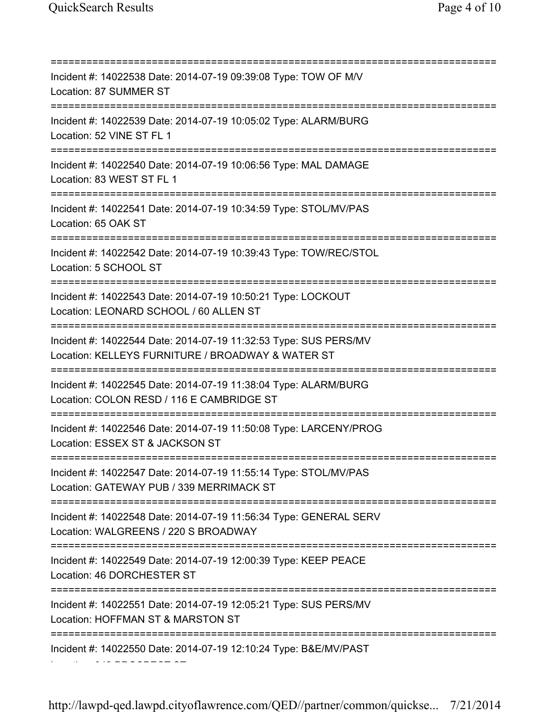Location: 342 PROSPECT ST

=========================================================================== Incident #: 14022538 Date: 2014-07-19 09:39:08 Type: TOW OF M/V Location: 87 SUMMER ST =========================================================================== Incident #: 14022539 Date: 2014-07-19 10:05:02 Type: ALARM/BURG Location: 52 VINE ST FL 1 =========================================================================== Incident #: 14022540 Date: 2014-07-19 10:06:56 Type: MAL DAMAGE Location: 83 WEST ST FL 1 =========================================================================== Incident #: 14022541 Date: 2014-07-19 10:34:59 Type: STOL/MV/PAS Location: 65 OAK ST =========================================================================== Incident #: 14022542 Date: 2014-07-19 10:39:43 Type: TOW/REC/STOL Location: 5 SCHOOL ST =========================================================================== Incident #: 14022543 Date: 2014-07-19 10:50:21 Type: LOCKOUT Location: LEONARD SCHOOL / 60 ALLEN ST =========================================================================== Incident #: 14022544 Date: 2014-07-19 11:32:53 Type: SUS PERS/MV Location: KELLEYS FURNITURE / BROADWAY & WATER ST =========================================================================== Incident #: 14022545 Date: 2014-07-19 11:38:04 Type: ALARM/BURG Location: COLON RESD / 116 E CAMBRIDGE ST =========================================================================== Incident #: 14022546 Date: 2014-07-19 11:50:08 Type: LARCENY/PROG Location: ESSEX ST & JACKSON ST =========================================================================== Incident #: 14022547 Date: 2014-07-19 11:55:14 Type: STOL/MV/PAS Location: GATEWAY PUB / 339 MERRIMACK ST =========================================================================== Incident #: 14022548 Date: 2014-07-19 11:56:34 Type: GENERAL SERV Location: WALGREENS / 220 S BROADWAY =========================================================================== Incident #: 14022549 Date: 2014-07-19 12:00:39 Type: KEEP PEACE Location: 46 DORCHESTER ST =========================================================================== Incident #: 14022551 Date: 2014-07-19 12:05:21 Type: SUS PERS/MV Location: HOFFMAN ST & MARSTON ST =========================================================================== Incident #: 14022550 Date: 2014-07-19 12:10:24 Type: B&E/MV/PAST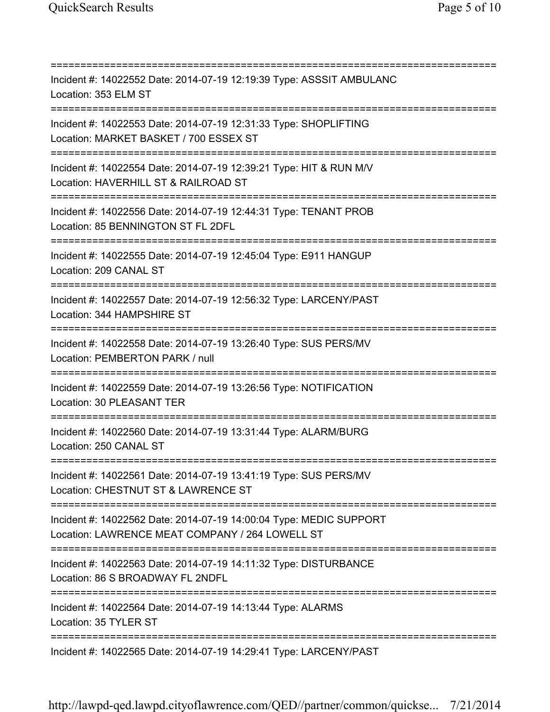=========================================================================== Incident #: 14022552 Date: 2014-07-19 12:19:39 Type: ASSSIT AMBULANC Location: 353 ELM ST =========================================================================== Incident #: 14022553 Date: 2014-07-19 12:31:33 Type: SHOPLIFTING Location: MARKET BASKET / 700 ESSEX ST =========================================================================== Incident #: 14022554 Date: 2014-07-19 12:39:21 Type: HIT & RUN M/V Location: HAVERHILL ST & RAILROAD ST =========================================================================== Incident #: 14022556 Date: 2014-07-19 12:44:31 Type: TENANT PROB Location: 85 BENNINGTON ST FL 2DFL =========================================================================== Incident #: 14022555 Date: 2014-07-19 12:45:04 Type: E911 HANGUP Location: 209 CANAL ST =========================================================================== Incident #: 14022557 Date: 2014-07-19 12:56:32 Type: LARCENY/PAST Location: 344 HAMPSHIRE ST =========================================================================== Incident #: 14022558 Date: 2014-07-19 13:26:40 Type: SUS PERS/MV Location: PEMBERTON PARK / null =========================================================================== Incident #: 14022559 Date: 2014-07-19 13:26:56 Type: NOTIFICATION Location: 30 PLEASANT TER =========================================================================== Incident #: 14022560 Date: 2014-07-19 13:31:44 Type: ALARM/BURG Location: 250 CANAL ST =========================================================================== Incident #: 14022561 Date: 2014-07-19 13:41:19 Type: SUS PERS/MV Location: CHESTNUT ST & LAWRENCE ST =========================================================================== Incident #: 14022562 Date: 2014-07-19 14:00:04 Type: MEDIC SUPPORT Location: LAWRENCE MEAT COMPANY / 264 LOWELL ST =========================================================================== Incident #: 14022563 Date: 2014-07-19 14:11:32 Type: DISTURBANCE Location: 86 S BROADWAY FL 2NDFL =========================================================================== Incident #: 14022564 Date: 2014-07-19 14:13:44 Type: ALARMS Location: 35 TYLER ST =========================================================================== Incident #: 14022565 Date: 2014-07-19 14:29:41 Type: LARCENY/PAST

http://lawpd-qed.lawpd.cityoflawrence.com/QED//partner/common/quickse... 7/21/2014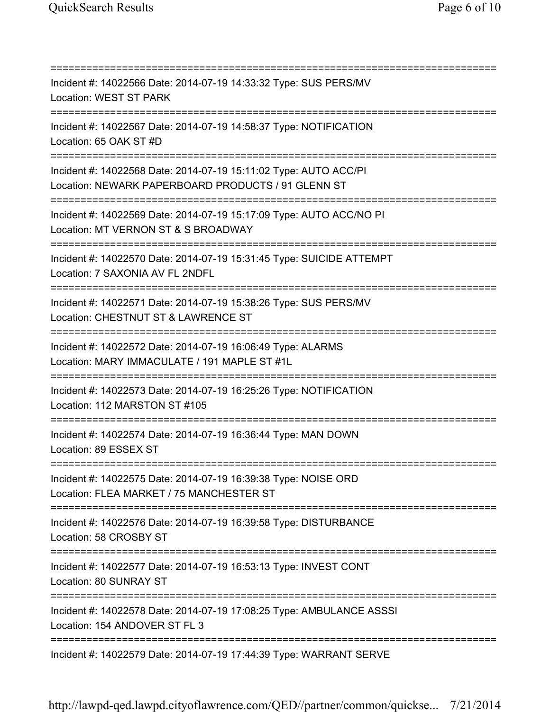=========================================================================== Incident #: 14022566 Date: 2014-07-19 14:33:32 Type: SUS PERS/MV Location: WEST ST PARK =========================================================================== Incident #: 14022567 Date: 2014-07-19 14:58:37 Type: NOTIFICATION Location: 65 OAK ST #D =========================================================================== Incident #: 14022568 Date: 2014-07-19 15:11:02 Type: AUTO ACC/PI Location: NEWARK PAPERBOARD PRODUCTS / 91 GLENN ST =========================================================================== Incident #: 14022569 Date: 2014-07-19 15:17:09 Type: AUTO ACC/NO PI Location: MT VERNON ST & S BROADWAY =========================================================================== Incident #: 14022570 Date: 2014-07-19 15:31:45 Type: SUICIDE ATTEMPT Location: 7 SAXONIA AV FL 2NDFL =========================================================================== Incident #: 14022571 Date: 2014-07-19 15:38:26 Type: SUS PERS/MV Location: CHESTNUT ST & LAWRENCE ST =========================================================================== Incident #: 14022572 Date: 2014-07-19 16:06:49 Type: ALARMS Location: MARY IMMACULATE / 191 MAPLE ST #1L =========================================================================== Incident #: 14022573 Date: 2014-07-19 16:25:26 Type: NOTIFICATION Location: 112 MARSTON ST #105 =========================================================================== Incident #: 14022574 Date: 2014-07-19 16:36:44 Type: MAN DOWN Location: 89 ESSEX ST =========================================================================== Incident #: 14022575 Date: 2014-07-19 16:39:38 Type: NOISE ORD Location: FLEA MARKET / 75 MANCHESTER ST =========================================================================== Incident #: 14022576 Date: 2014-07-19 16:39:58 Type: DISTURBANCE Location: 58 CROSBY ST =========================================================================== Incident #: 14022577 Date: 2014-07-19 16:53:13 Type: INVEST CONT Location: 80 SUNRAY ST =========================================================================== Incident #: 14022578 Date: 2014-07-19 17:08:25 Type: AMBULANCE ASSSI Location: 154 ANDOVER ST FL 3 =========================================================================== Incident #: 14022579 Date: 2014-07-19 17:44:39 Type: WARRANT SERVE

http://lawpd-qed.lawpd.cityoflawrence.com/QED//partner/common/quickse... 7/21/2014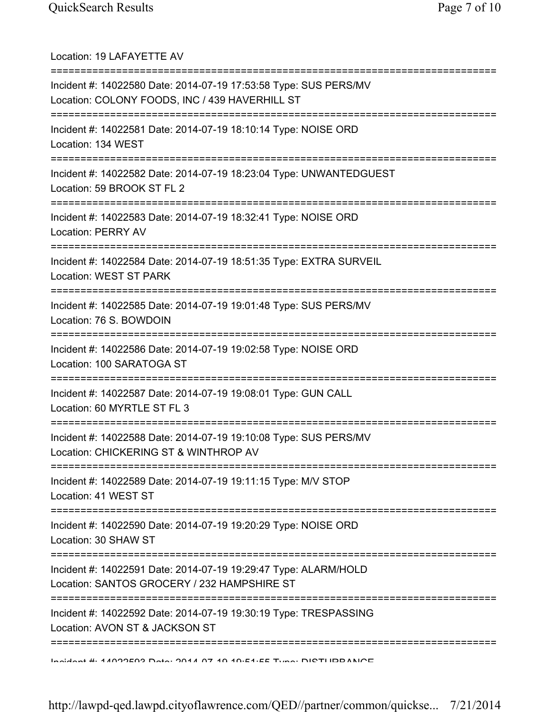| Location: 19 LAFAYETTE AV                                                                                                                                           |
|---------------------------------------------------------------------------------------------------------------------------------------------------------------------|
| Incident #: 14022580 Date: 2014-07-19 17:53:58 Type: SUS PERS/MV<br>Location: COLONY FOODS, INC / 439 HAVERHILL ST                                                  |
| Incident #: 14022581 Date: 2014-07-19 18:10:14 Type: NOISE ORD<br>Location: 134 WEST                                                                                |
| Incident #: 14022582 Date: 2014-07-19 18:23:04 Type: UNWANTEDGUEST<br>Location: 59 BROOK ST FL 2<br>====================================                            |
| Incident #: 14022583 Date: 2014-07-19 18:32:41 Type: NOISE ORD<br><b>Location: PERRY AV</b>                                                                         |
| ================================<br>Incident #: 14022584 Date: 2014-07-19 18:51:35 Type: EXTRA SURVEIL<br>Location: WEST ST PARK<br>=============================== |
| Incident #: 14022585 Date: 2014-07-19 19:01:48 Type: SUS PERS/MV<br>Location: 76 S. BOWDOIN                                                                         |
| Incident #: 14022586 Date: 2014-07-19 19:02:58 Type: NOISE ORD<br>Location: 100 SARATOGA ST                                                                         |
| Incident #: 14022587 Date: 2014-07-19 19:08:01 Type: GUN CALL<br>Location: 60 MYRTLE ST FL 3                                                                        |
| Incident #: 14022588 Date: 2014-07-19 19:10:08 Type: SUS PERS/MV<br>Location: CHICKERING ST & WINTHROP AV                                                           |
| Incident #: 14022589 Date: 2014-07-19 19:11:15 Type: M/V STOP<br>Location: 41 WEST ST                                                                               |
| Incident #: 14022590 Date: 2014-07-19 19:20:29 Type: NOISE ORD<br>Location: 30 SHAW ST                                                                              |
| Incident #: 14022591 Date: 2014-07-19 19:29:47 Type: ALARM/HOLD<br>Location: SANTOS GROCERY / 232 HAMPSHIRE ST                                                      |
| Incident #: 14022592 Date: 2014-07-19 19:30:19 Type: TRESPASSING<br>Location: AVON ST & JACKSON ST                                                                  |
| Incident #: 4 ANORENS Data: 2044 07:40 40:54:55 Tune: DIOTHDDANIOE                                                                                                  |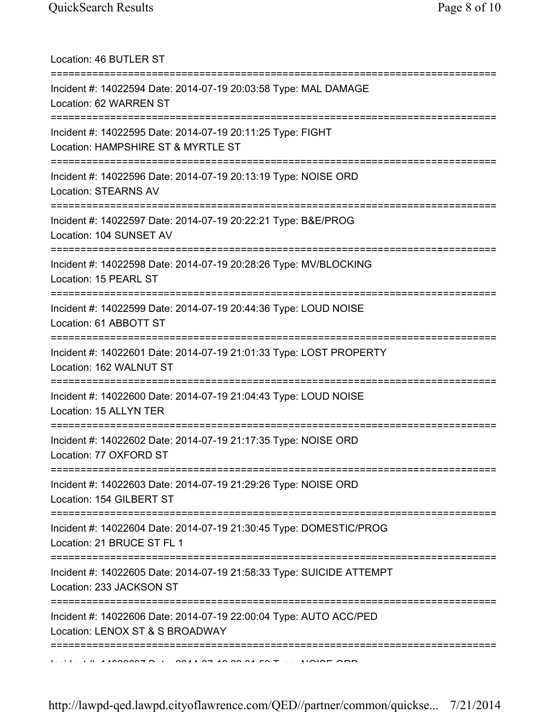| Location: 46 BUTLER ST                                                                                                             |
|------------------------------------------------------------------------------------------------------------------------------------|
| Incident #: 14022594 Date: 2014-07-19 20:03:58 Type: MAL DAMAGE<br>Location: 62 WARREN ST<br>====================================  |
| Incident #: 14022595 Date: 2014-07-19 20:11:25 Type: FIGHT<br>Location: HAMPSHIRE ST & MYRTLE ST                                   |
| Incident #: 14022596 Date: 2014-07-19 20:13:19 Type: NOISE ORD<br>Location: STEARNS AV                                             |
| Incident #: 14022597 Date: 2014-07-19 20:22:21 Type: B&E/PROG<br>Location: 104 SUNSET AV                                           |
| Incident #: 14022598 Date: 2014-07-19 20:28:26 Type: MV/BLOCKING<br>Location: 15 PEARL ST                                          |
| Incident #: 14022599 Date: 2014-07-19 20:44:36 Type: LOUD NOISE<br>Location: 61 ABBOTT ST                                          |
| Incident #: 14022601 Date: 2014-07-19 21:01:33 Type: LOST PROPERTY<br>Location: 162 WALNUT ST                                      |
| =====================================<br>Incident #: 14022600 Date: 2014-07-19 21:04:43 Type: LOUD NOISE<br>Location: 15 ALLYN TER |
| Incident #: 14022602 Date: 2014-07-19 21:17:35 Type: NOISE ORD<br>Location: 77 OXFORD ST                                           |
| :=======================<br>Incident #: 14022603 Date: 2014-07-19 21:29:26 Type: NOISE ORD<br>Location: 154 GILBERT ST             |
| Incident #: 14022604 Date: 2014-07-19 21:30:45 Type: DOMESTIC/PROG<br>Location: 21 BRUCE ST FL 1                                   |
| Incident #: 14022605 Date: 2014-07-19 21:58:33 Type: SUICIDE ATTEMPT<br>Location: 233 JACKSON ST                                   |
| Incident #: 14022606 Date: 2014-07-19 22:00:04 Type: AUTO ACC/PED<br>Location: LENOX ST & S BROADWAY                               |
| =====================================                                                                                              |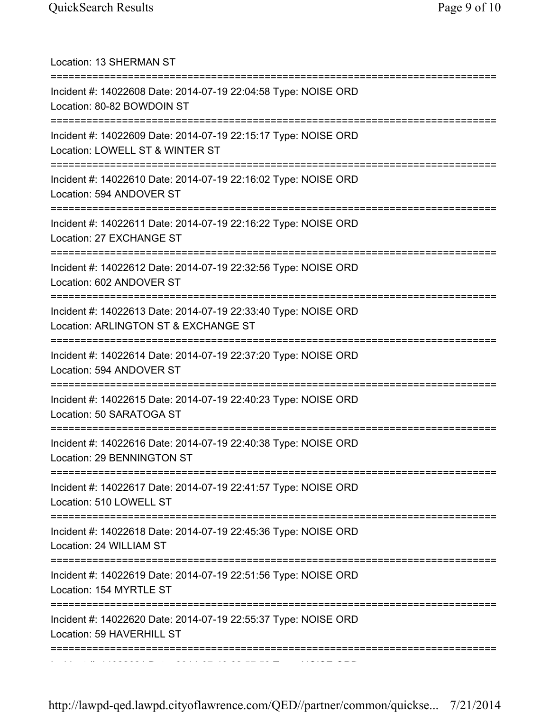| Location: 13 SHERMAN ST                                                                                                            |
|------------------------------------------------------------------------------------------------------------------------------------|
| Incident #: 14022608 Date: 2014-07-19 22:04:58 Type: NOISE ORD<br>Location: 80-82 BOWDOIN ST                                       |
| Incident #: 14022609 Date: 2014-07-19 22:15:17 Type: NOISE ORD<br>Location: LOWELL ST & WINTER ST                                  |
| Incident #: 14022610 Date: 2014-07-19 22:16:02 Type: NOISE ORD<br>Location: 594 ANDOVER ST                                         |
| Incident #: 14022611 Date: 2014-07-19 22:16:22 Type: NOISE ORD<br>Location: 27 EXCHANGE ST                                         |
| ====================================<br>Incident #: 14022612 Date: 2014-07-19 22:32:56 Type: NOISE ORD<br>Location: 602 ANDOVER ST |
| Incident #: 14022613 Date: 2014-07-19 22:33:40 Type: NOISE ORD<br>Location: ARLINGTON ST & EXCHANGE ST                             |
| Incident #: 14022614 Date: 2014-07-19 22:37:20 Type: NOISE ORD<br>Location: 594 ANDOVER ST                                         |
| Incident #: 14022615 Date: 2014-07-19 22:40:23 Type: NOISE ORD<br>Location: 50 SARATOGA ST                                         |
| Incident #: 14022616 Date: 2014-07-19 22:40:38 Type: NOISE ORD<br>Location: 29 BENNINGTON ST                                       |
| Incident #: 14022617 Date: 2014-07-19 22:41:57 Type: NOISE ORD<br>Location: 510 LOWELL ST                                          |
| Incident #: 14022618 Date: 2014-07-19 22:45:36 Type: NOISE ORD<br>Location: 24 WILLIAM ST                                          |
| Incident #: 14022619 Date: 2014-07-19 22:51:56 Type: NOISE ORD<br>Location: 154 MYRTLE ST                                          |
| Incident #: 14022620 Date: 2014-07-19 22:55:37 Type: NOISE ORD<br>Location: 59 HAVERHILL ST                                        |
|                                                                                                                                    |